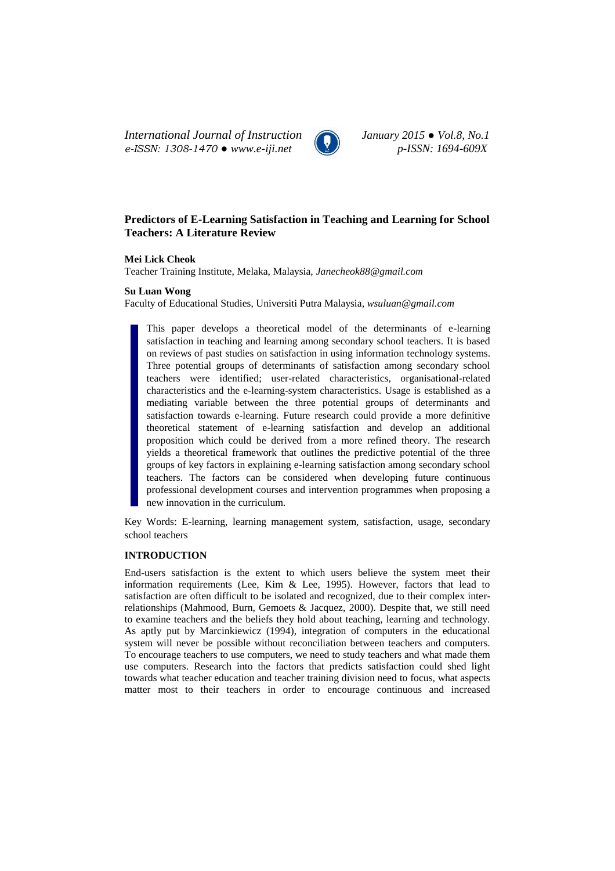*International Journal of Instruction January 2015 ● Vol.8, No.1 e-ISSN: 1308-1470 ● www.e-iji.net p-ISSN: 1694-609X*



# **Predictors of E-Learning Satisfaction in Teaching and Learning for School Teachers: A Literature Review**

## **Mei Lick Cheok**

Teacher Training Institute, Melaka, Malaysia, *Janecheok88@gmail.com*

## **Su Luan Wong**

Faculty of Educational Studies, Universiti Putra Malaysia*, wsuluan@gmail.com*

This paper develops a theoretical model of the determinants of e-learning satisfaction in teaching and learning among secondary school teachers. It is based on reviews of past studies on satisfaction in using information technology systems. Three potential groups of determinants of satisfaction among secondary school teachers were identified; user-related characteristics, organisational-related characteristics and the e-learning-system characteristics. Usage is established as a mediating variable between the three potential groups of determinants and satisfaction towards e-learning. Future research could provide a more definitive theoretical statement of e-learning satisfaction and develop an additional proposition which could be derived from a more refined theory. The research yields a theoretical framework that outlines the predictive potential of the three groups of key factors in explaining e-learning satisfaction among secondary school teachers. The factors can be considered when developing future continuous professional development courses and intervention programmes when proposing a new innovation in the curriculum.

Key Words: E-learning, learning management system, satisfaction, usage, secondary school teachers

## **INTRODUCTION**

End-users satisfaction is the extent to which users believe the system meet their information requirements (Lee, Kim & Lee, 1995). However, factors that lead to satisfaction are often difficult to be isolated and recognized, due to their complex interrelationships (Mahmood, Burn, Gemoets & Jacquez, 2000). Despite that, we still need to examine teachers and the beliefs they hold about teaching, learning and technology. As aptly put by Marcinkiewicz (1994), integration of computers in the educational system will never be possible without reconciliation between teachers and computers. To encourage teachers to use computers, we need to study teachers and what made them use computers. Research into the factors that predicts satisfaction could shed light towards what teacher education and teacher training division need to focus, what aspects matter most to their teachers in order to encourage continuous and increased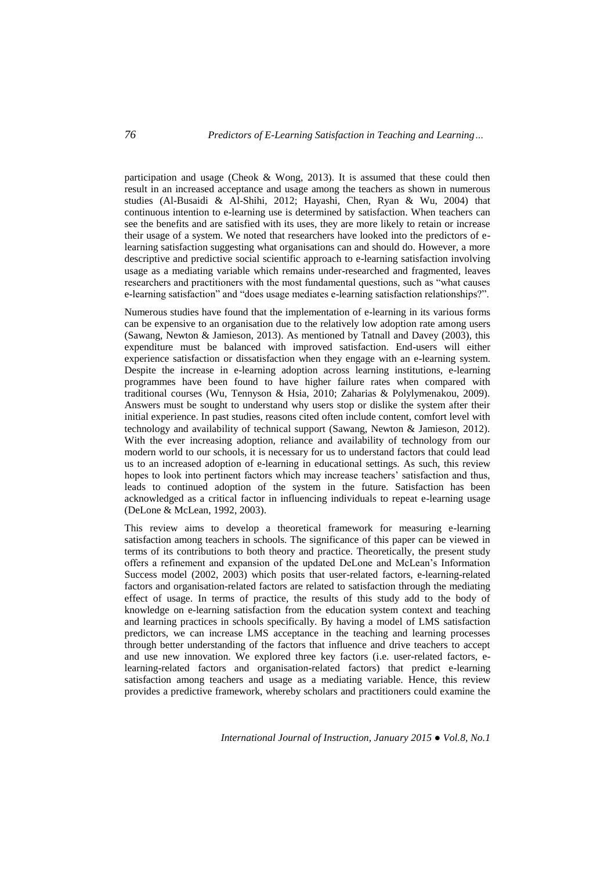participation and usage (Cheok & Wong, 2013). It is assumed that these could then result in an increased acceptance and usage among the teachers as shown in numerous studies (Al-Busaidi & Al-Shihi, 2012; Hayashi, Chen, Ryan & Wu, 2004) that continuous intention to e-learning use is determined by satisfaction. When teachers can see the benefits and are satisfied with its uses, they are more likely to retain or increase their usage of a system. We noted that researchers have looked into the predictors of elearning satisfaction suggesting what organisations can and should do. However, a more descriptive and predictive social scientific approach to e-learning satisfaction involving usage as a mediating variable which remains under-researched and fragmented, leaves researchers and practitioners with the most fundamental questions, such as "what causes e-learning satisfaction" and "does usage mediates e-learning satisfaction relationships?".

Numerous studies have found that the implementation of e-learning in its various forms can be expensive to an organisation due to the relatively low adoption rate among users (Sawang, Newton & Jamieson, 2013). As mentioned by Tatnall and Davey (2003), this expenditure must be balanced with improved satisfaction. End-users will either experience satisfaction or dissatisfaction when they engage with an e-learning system. Despite the increase in e-learning adoption across learning institutions, e-learning programmes have been found to have higher failure rates when compared with traditional courses (Wu, Tennyson & Hsia, 2010; Zaharias & Polylymenakou, 2009). Answers must be sought to understand why users stop or dislike the system after their initial experience. In past studies, reasons cited often include content, comfort level with technology and availability of technical support (Sawang, Newton & Jamieson, 2012). With the ever increasing adoption, reliance and availability of technology from our modern world to our schools, it is necessary for us to understand factors that could lead us to an increased adoption of e-learning in educational settings. As such, this review hopes to look into pertinent factors which may increase teachers' satisfaction and thus, leads to continued adoption of the system in the future. Satisfaction has been acknowledged as a critical factor in influencing individuals to repeat e-learning usage (DeLone & McLean, 1992, 2003).

This review aims to develop a theoretical framework for measuring e-learning satisfaction among teachers in schools. The significance of this paper can be viewed in terms of its contributions to both theory and practice. Theoretically, the present study offers a refinement and expansion of the updated DeLone and McLean's Information Success model (2002, 2003) which posits that user-related factors, e-learning-related factors and organisation-related factors are related to satisfaction through the mediating effect of usage. In terms of practice, the results of this study add to the body of knowledge on e-learning satisfaction from the education system context and teaching and learning practices in schools specifically. By having a model of LMS satisfaction predictors, we can increase LMS acceptance in the teaching and learning processes through better understanding of the factors that influence and drive teachers to accept and use new innovation. We explored three key factors (i.e. user-related factors, elearning-related factors and organisation-related factors) that predict e-learning satisfaction among teachers and usage as a mediating variable. Hence, this review provides a predictive framework, whereby scholars and practitioners could examine the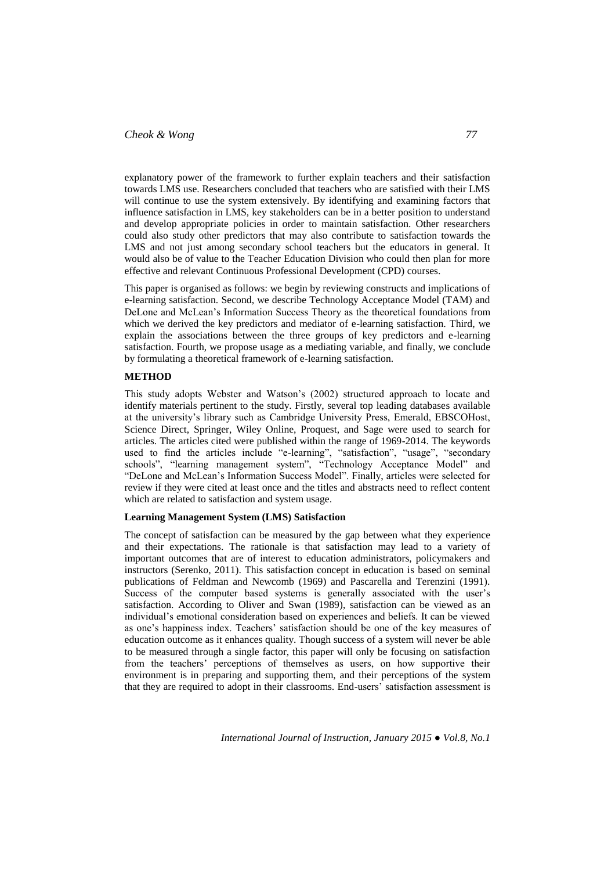# *Cheok & Wong 77*

explanatory power of the framework to further explain teachers and their satisfaction towards LMS use. Researchers concluded that teachers who are satisfied with their LMS will continue to use the system extensively. By identifying and examining factors that influence satisfaction in LMS, key stakeholders can be in a better position to understand and develop appropriate policies in order to maintain satisfaction. Other researchers could also study other predictors that may also contribute to satisfaction towards the LMS and not just among secondary school teachers but the educators in general. It would also be of value to the Teacher Education Division who could then plan for more effective and relevant Continuous Professional Development (CPD) courses.

This paper is organised as follows: we begin by reviewing constructs and implications of e-learning satisfaction. Second, we describe Technology Acceptance Model (TAM) and DeLone and McLean's Information Success Theory as the theoretical foundations from which we derived the key predictors and mediator of e-learning satisfaction. Third, we explain the associations between the three groups of key predictors and e-learning satisfaction. Fourth, we propose usage as a mediating variable, and finally, we conclude by formulating a theoretical framework of e-learning satisfaction.

#### **METHOD**

This study adopts Webster and Watson's (2002) structured approach to locate and identify materials pertinent to the study. Firstly, several top leading databases available at the university's library such as Cambridge University Press, Emerald, EBSCOHost, Science Direct, Springer, Wiley Online, Proquest, and Sage were used to search for articles. The articles cited were published within the range of 1969-2014. The keywords used to find the articles include "e-learning", "satisfaction", "usage", "secondary schools", "learning management system", "Technology Acceptance Model" and "DeLone and McLean's Information Success Model". Finally, articles were selected for review if they were cited at least once and the titles and abstracts need to reflect content which are related to satisfaction and system usage.

## **Learning Management System (LMS) Satisfaction**

The concept of satisfaction can be measured by the gap between what they experience and their expectations. The rationale is that satisfaction may lead to a variety of important outcomes that are of interest to education administrators, policymakers and instructors (Serenko, 2011). This satisfaction concept in education is based on seminal publications of Feldman and Newcomb (1969) and Pascarella and Terenzini (1991). Success of the computer based systems is generally associated with the user's satisfaction. According to Oliver and Swan (1989), satisfaction can be viewed as an individual's emotional consideration based on experiences and beliefs. It can be viewed as one's happiness index. Teachers' satisfaction should be one of the key measures of education outcome as it enhances quality. Though success of a system will never be able to be measured through a single factor, this paper will only be focusing on satisfaction from the teachers' perceptions of themselves as users, on how supportive their environment is in preparing and supporting them, and their perceptions of the system that they are required to adopt in their classrooms. End-users' satisfaction assessment is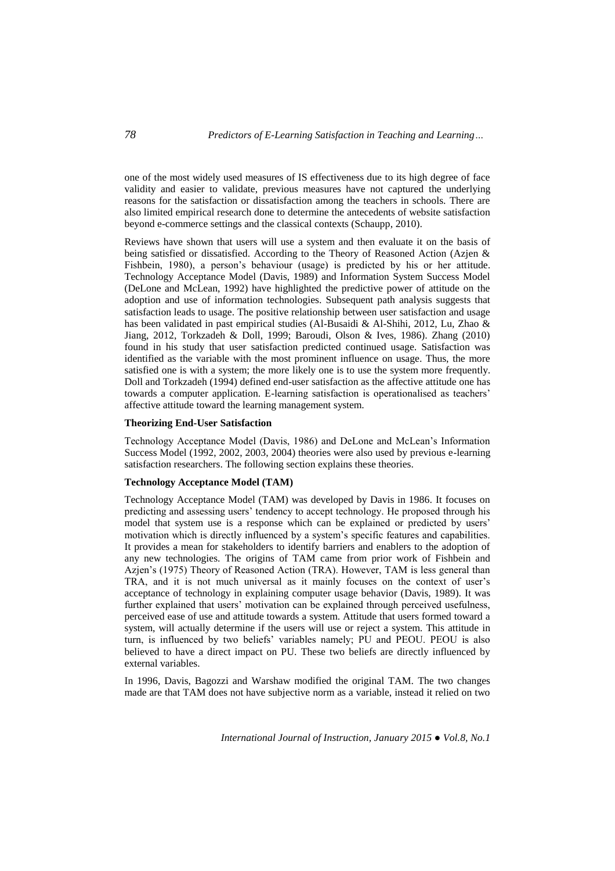one of the most widely used measures of IS effectiveness due to its high degree of face validity and easier to validate, previous measures have not captured the underlying reasons for the satisfaction or dissatisfaction among the teachers in schools. There are also limited empirical research done to determine the antecedents of website satisfaction beyond e-commerce settings and the classical contexts (Schaupp, 2010).

Reviews have shown that users will use a system and then evaluate it on the basis of being satisfied or dissatisfied. According to the Theory of Reasoned Action (Azjen & Fishbein, 1980), a person's behaviour (usage) is predicted by his or her attitude. Technology Acceptance Model (Davis, 1989) and Information System Success Model (DeLone and McLean, 1992) have highlighted the predictive power of attitude on the adoption and use of information technologies. Subsequent path analysis suggests that satisfaction leads to usage. The positive relationship between user satisfaction and usage has been validated in past empirical studies (Al-Busaidi & Al-Shihi, 2012, Lu, Zhao & Jiang, 2012, Torkzadeh & Doll, 1999; Baroudi, Olson & Ives, 1986). Zhang (2010) found in his study that user satisfaction predicted continued usage. Satisfaction was identified as the variable with the most prominent influence on usage. Thus, the more satisfied one is with a system; the more likely one is to use the system more frequently. Doll and Torkzadeh (1994) defined end-user satisfaction as the affective attitude one has towards a computer application. E-learning satisfaction is operationalised as teachers' affective attitude toward the learning management system.

#### **Theorizing End-User Satisfaction**

Technology Acceptance Model (Davis, 1986) and DeLone and McLean's Information Success Model (1992, 2002, 2003, 2004) theories were also used by previous e-learning satisfaction researchers. The following section explains these theories.

## **Technology Acceptance Model (TAM)**

Technology Acceptance Model (TAM) was developed by Davis in 1986. It focuses on predicting and assessing users' tendency to accept technology. He proposed through his model that system use is a response which can be explained or predicted by users' motivation which is directly influenced by a system's specific features and capabilities. It provides a mean for stakeholders to identify barriers and enablers to the adoption of any new technologies. The origins of TAM came from prior work of Fishbein and Azjen's (1975) Theory of Reasoned Action (TRA). However, TAM is less general than TRA, and it is not much universal as it mainly focuses on the context of user's acceptance of technology in explaining computer usage behavior (Davis, 1989). It was further explained that users' motivation can be explained through perceived usefulness, perceived ease of use and attitude towards a system. Attitude that users formed toward a system, will actually determine if the users will use or reject a system. This attitude in turn, is influenced by two beliefs' variables namely; PU and PEOU. PEOU is also believed to have a direct impact on PU. These two beliefs are directly influenced by external variables.

In 1996, Davis, Bagozzi and Warshaw modified the original TAM. The two changes made are that TAM does not have subjective norm as a variable, instead it relied on two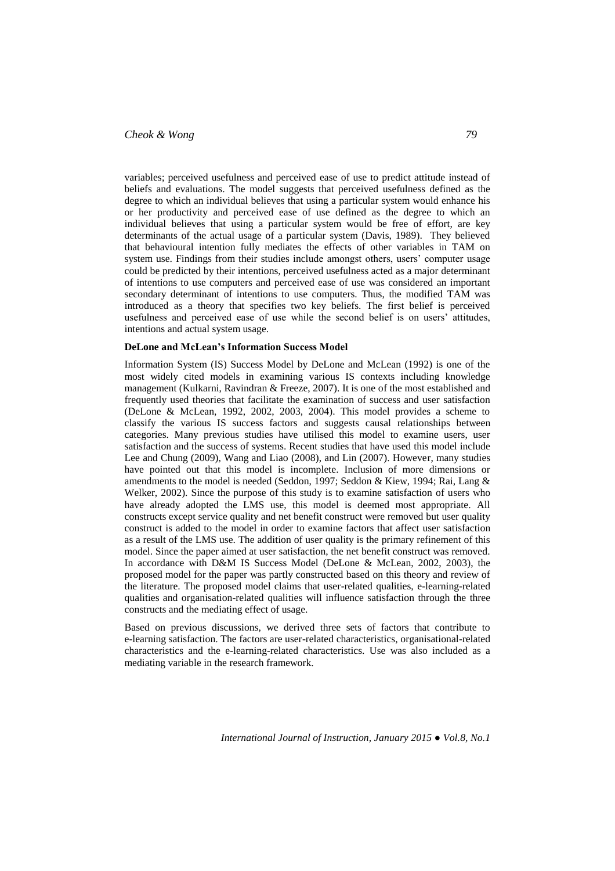# *Cheok & Wong 79*

variables; perceived usefulness and perceived ease of use to predict attitude instead of beliefs and evaluations. The model suggests that perceived usefulness defined as the degree to which an individual believes that using a particular system would enhance his or her productivity and perceived ease of use defined as the degree to which an individual believes that using a particular system would be free of effort, are key determinants of the actual usage of a particular system (Davis, 1989). They believed that behavioural intention fully mediates the effects of other variables in TAM on system use. Findings from their studies include amongst others, users' computer usage could be predicted by their intentions, perceived usefulness acted as a major determinant of intentions to use computers and perceived ease of use was considered an important secondary determinant of intentions to use computers. Thus, the modified TAM was introduced as a theory that specifies two key beliefs. The first belief is perceived usefulness and perceived ease of use while the second belief is on users' attitudes, intentions and actual system usage.

#### **DeLone and McLean's Information Success Model**

Information System (IS) Success Model by DeLone and McLean (1992) is one of the most widely cited models in examining various IS contexts including knowledge management (Kulkarni, Ravindran & Freeze, 2007). It is one of the most established and frequently used theories that facilitate the examination of success and user satisfaction (DeLone & McLean, 1992, 2002, 2003, 2004). This model provides a scheme to classify the various IS success factors and suggests causal relationships between categories. Many previous studies have utilised this model to examine users, user satisfaction and the success of systems. Recent studies that have used this model include Lee and Chung (2009), Wang and Liao (2008), and Lin (2007). However, many studies have pointed out that this model is incomplete. Inclusion of more dimensions or amendments to the model is needed (Seddon, 1997; Seddon & Kiew, 1994; Rai, Lang & Welker, 2002). Since the purpose of this study is to examine satisfaction of users who have already adopted the LMS use, this model is deemed most appropriate. All constructs except service quality and net benefit construct were removed but user quality construct is added to the model in order to examine factors that affect user satisfaction as a result of the LMS use. The addition of user quality is the primary refinement of this model. Since the paper aimed at user satisfaction, the net benefit construct was removed. In accordance with D&M IS Success Model (DeLone & McLean, 2002, 2003), the proposed model for the paper was partly constructed based on this theory and review of the literature. The proposed model claims that user-related qualities, e-learning-related qualities and organisation-related qualities will influence satisfaction through the three constructs and the mediating effect of usage.

Based on previous discussions, we derived three sets of factors that contribute to e-learning satisfaction. The factors are user-related characteristics, organisational-related characteristics and the e-learning-related characteristics. Use was also included as a mediating variable in the research framework.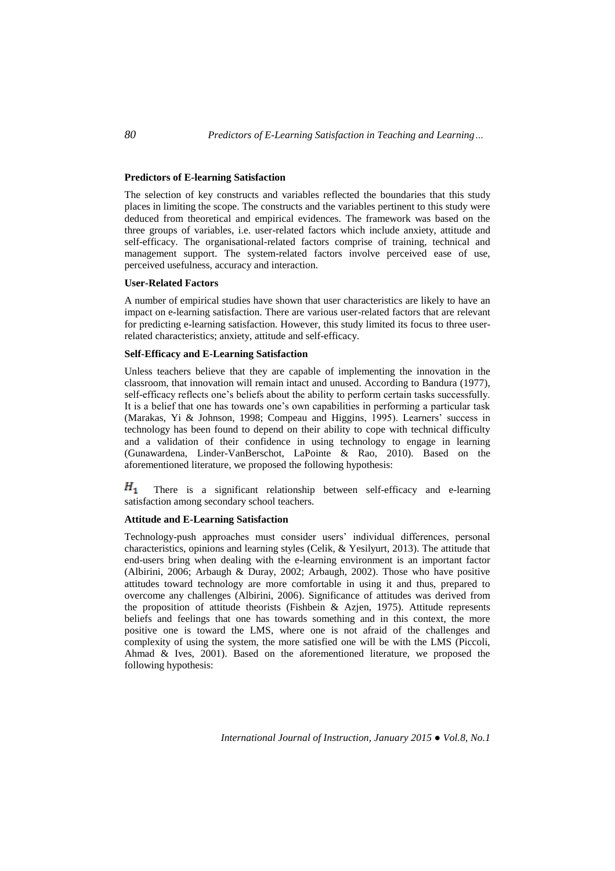## **Predictors of E-learning Satisfaction**

The selection of key constructs and variables reflected the boundaries that this study places in limiting the scope. The constructs and the variables pertinent to this study were deduced from theoretical and empirical evidences. The framework was based on the three groups of variables, i.e. user-related factors which include anxiety, attitude and self-efficacy. The organisational-related factors comprise of training, technical and management support. The system-related factors involve perceived ease of use, perceived usefulness, accuracy and interaction.

#### **User-Related Factors**

A number of empirical studies have shown that user characteristics are likely to have an impact on e-learning satisfaction. There are various user-related factors that are relevant for predicting e-learning satisfaction. However, this study limited its focus to three userrelated characteristics; anxiety, attitude and self-efficacy.

#### **Self-Efficacy and E-Learning Satisfaction**

Unless teachers believe that they are capable of implementing the innovation in the classroom, that innovation will remain intact and unused. According to Bandura (1977), self-efficacy reflects one's beliefs about the ability to perform certain tasks successfully. It is a belief that one has towards one's own capabilities in performing a particular task (Marakas, Yi & Johnson, 1998; Compeau and Higgins, 1995). Learners' success in technology has been found to depend on their ability to cope with technical difficulty and a validation of their confidence in using technology to engage in learning (Gunawardena, Linder-VanBerschot, LaPointe & Rao, 2010). Based on the aforementioned literature, we proposed the following hypothesis:

 $H_{1}$ There is a significant relationship between self-efficacy and e-learning satisfaction among secondary school teachers.

## **Attitude and E-Learning Satisfaction**

Technology-push approaches must consider users' individual differences, personal characteristics, opinions and learning styles (Celik, & Yesilyurt, 2013). The attitude that end-users bring when dealing with the e-learning environment is an important factor (Albirini, 2006; Arbaugh & Duray, 2002; Arbaugh, 2002). Those who have positive attitudes toward technology are more comfortable in using it and thus, prepared to overcome any challenges (Albirini, 2006). Significance of attitudes was derived from the proposition of attitude theorists (Fishbein & Azjen, 1975). Attitude represents beliefs and feelings that one has towards something and in this context, the more positive one is toward the LMS, where one is not afraid of the challenges and complexity of using the system, the more satisfied one will be with the LMS (Piccoli, Ahmad & Ives, 2001). Based on the aforementioned literature, we proposed the following hypothesis: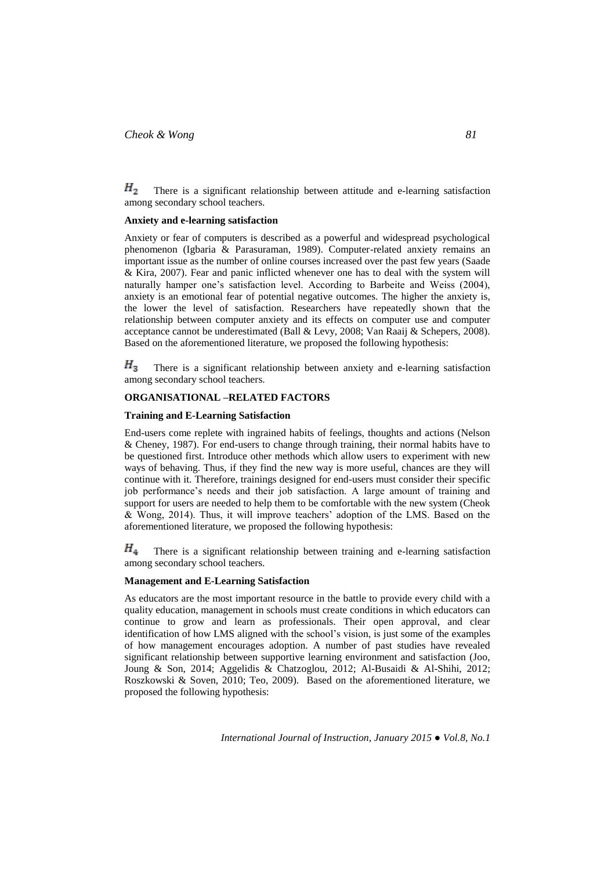Н, There is a significant relationship between attitude and e-learning satisfaction among secondary school teachers.

### **Anxiety and e-learning satisfaction**

Anxiety or fear of computers is described as a powerful and widespread psychological phenomenon (Igbaria & Parasuraman, 1989). Computer-related anxiety remains an important issue as the number of online courses increased over the past few years (Saade & Kira, 2007). Fear and panic inflicted whenever one has to deal with the system will naturally hamper one's satisfaction level. According to Barbeite and Weiss (2004), anxiety is an emotional fear of potential negative outcomes. The higher the anxiety is, the lower the level of satisfaction. Researchers have repeatedly shown that the relationship between computer anxiety and its effects on computer use and computer acceptance cannot be underestimated (Ball & Levy, 2008; Van Raaij & Schepers, 2008). Based on the aforementioned literature, we proposed the following hypothesis:

 $H_3$ There is a significant relationship between anxiety and e-learning satisfaction among secondary school teachers.

### **ORGANISATIONAL –RELATED FACTORS**

## **Training and E-Learning Satisfaction**

End-users come replete with ingrained habits of feelings, thoughts and actions (Nelson & Cheney, 1987). For end-users to change through training, their normal habits have to be questioned first. Introduce other methods which allow users to experiment with new ways of behaving. Thus, if they find the new way is more useful, chances are they will continue with it. Therefore, trainings designed for end-users must consider their specific job performance's needs and their job satisfaction. A large amount of training and support for users are needed to help them to be comfortable with the new system (Cheok & Wong, 2014). Thus, it will improve teachers' adoption of the LMS. Based on the aforementioned literature, we proposed the following hypothesis:

 $H_4$ There is a significant relationship between training and e-learning satisfaction among secondary school teachers.

#### **Management and E-Learning Satisfaction**

As educators are the most important resource in the battle to provide every child with a quality education, management in schools must create conditions in which educators can continue to grow and learn as professionals. Their open approval, and clear identification of how LMS aligned with the school's vision, is just some of the examples of how management encourages adoption. A number of past studies have revealed significant relationship between supportive learning environment and satisfaction (Joo, Joung & Son, 2014; Aggelidis & Chatzoglou, 2012; Al-Busaidi & Al-Shihi, 2012; Roszkowski & Soven, 2010; Teo, 2009). Based on the aforementioned literature, we proposed the following hypothesis: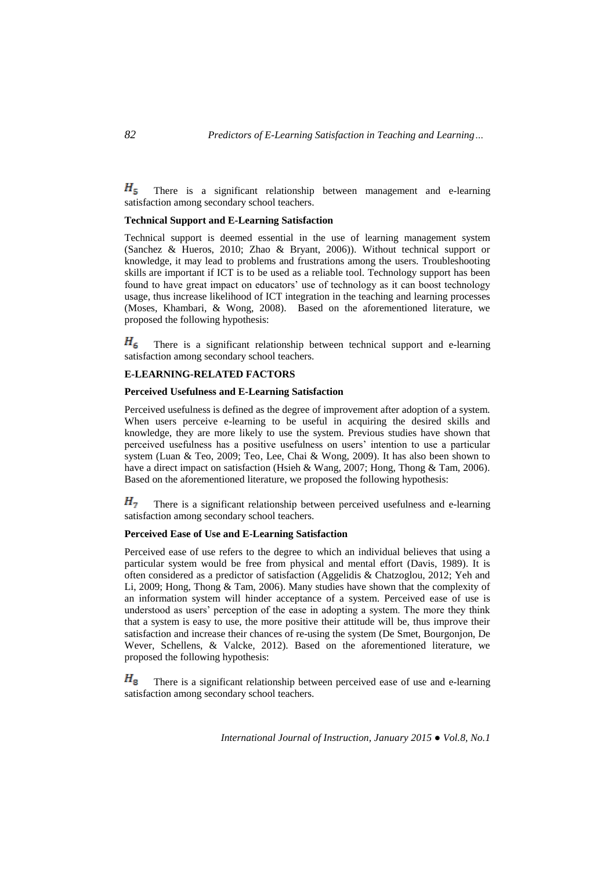$H_{\rm c}$ There is a significant relationship between management and e-learning satisfaction among secondary school teachers.

### **Technical Support and E-Learning Satisfaction**

Technical support is deemed essential in the use of learning management system (Sanchez & Hueros, 2010; Zhao & Bryant, 2006)). Without technical support or knowledge, it may lead to problems and frustrations among the users. Troubleshooting skills are important if ICT is to be used as a reliable tool. Technology support has been found to have great impact on educators' use of technology as it can boost technology usage, thus increase likelihood of ICT integration in the teaching and learning processes (Moses, Khambari, & Wong, 2008). Based on the aforementioned literature, we proposed the following hypothesis:

 $H_6$ There is a significant relationship between technical support and e-learning satisfaction among secondary school teachers.

#### **E-LEARNING-RELATED FACTORS**

## **Perceived Usefulness and E-Learning Satisfaction**

Perceived usefulness is defined as the degree of improvement after adoption of a system. When users perceive e-learning to be useful in acquiring the desired skills and knowledge, they are more likely to use the system. Previous studies have shown that perceived usefulness has a positive usefulness on users' intention to use a particular system (Luan & Teo, 2009; Teo, Lee, Chai & Wong, 2009). It has also been shown to have a direct impact on satisfaction (Hsieh & Wang, 2007; Hong, Thong & Tam, 2006). Based on the aforementioned literature, we proposed the following hypothesis:

 $H<sub>7</sub>$ There is a significant relationship between perceived usefulness and e-learning satisfaction among secondary school teachers.

### **Perceived Ease of Use and E-Learning Satisfaction**

Perceived ease of use refers to the degree to which an individual believes that using a particular system would be free from physical and mental effort (Davis, 1989). It is often considered as a predictor of satisfaction (Aggelidis & Chatzoglou, 2012; Yeh and Li, 2009; Hong, Thong & Tam, 2006). Many studies have shown that the complexity of an information system will hinder acceptance of a system. Perceived ease of use is understood as users' perception of the ease in adopting a system. The more they think that a system is easy to use, the more positive their attitude will be, thus improve their satisfaction and increase their chances of re-using the system (De Smet, Bourgonjon, De Wever, Schellens, & Valcke, 2012). Based on the aforementioned literature, we proposed the following hypothesis:

 $H_{8}$ There is a significant relationship between perceived ease of use and e-learning satisfaction among secondary school teachers.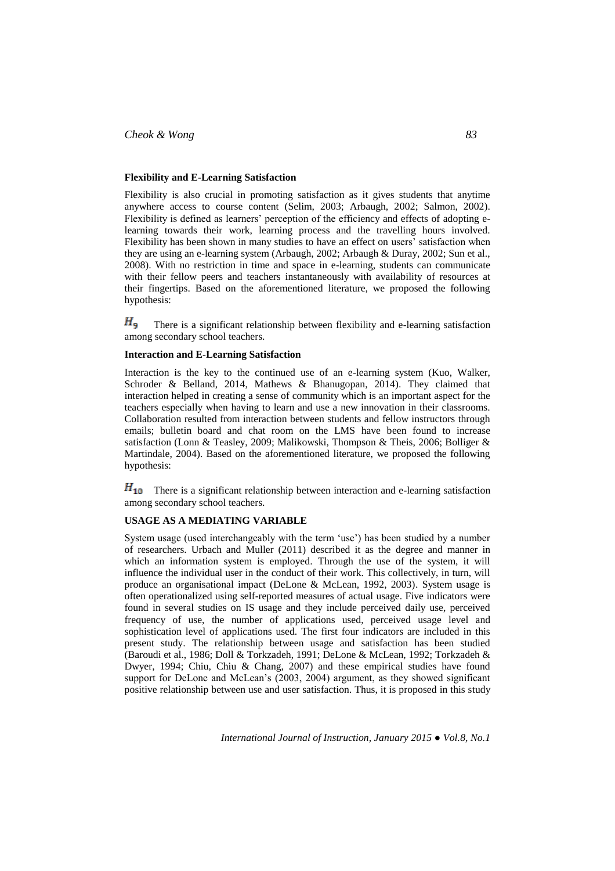## **Flexibility and E-Learning Satisfaction**

Flexibility is also crucial in promoting satisfaction as it gives students that anytime anywhere access to course content (Selim, 2003; Arbaugh, 2002; Salmon, 2002). Flexibility is defined as learners' perception of the efficiency and effects of adopting elearning towards their work, learning process and the travelling hours involved. Flexibility has been shown in many studies to have an effect on users' satisfaction when they are using an e-learning system (Arbaugh, 2002; Arbaugh & Duray, 2002; Sun et al., 2008). With no restriction in time and space in e-learning, students can communicate with their fellow peers and teachers instantaneously with availability of resources at their fingertips. Based on the aforementioned literature, we proposed the following hypothesis:

 $H_{\rm q}$ There is a significant relationship between flexibility and e-learning satisfaction among secondary school teachers.

## **Interaction and E-Learning Satisfaction**

Interaction is the key to the continued use of an e-learning system (Kuo, Walker, Schroder & Belland, 2014, Mathews & Bhanugopan, 2014). They claimed that interaction helped in creating a sense of community which is an important aspect for the teachers especially when having to learn and use a new innovation in their classrooms. Collaboration resulted from interaction between students and fellow instructors through emails; bulletin board and chat room on the LMS have been found to increase satisfaction (Lonn & Teasley, 2009; Malikowski, Thompson & Theis, 2006; Bolliger & Martindale, 2004). Based on the aforementioned literature, we proposed the following hypothesis:

 $H_{10}$  There is a significant relationship between interaction and e-learning satisfaction among secondary school teachers.

## **USAGE AS A MEDIATING VARIABLE**

System usage (used interchangeably with the term 'use') has been studied by a number of researchers. Urbach and Muller (2011) described it as the degree and manner in which an information system is employed. Through the use of the system, it will influence the individual user in the conduct of their work. This collectively, in turn, will produce an organisational impact (DeLone & McLean, 1992, 2003). System usage is often operationalized using self-reported measures of actual usage. Five indicators were found in several studies on IS usage and they include perceived daily use, perceived frequency of use, the number of applications used, perceived usage level and sophistication level of applications used. The first four indicators are included in this present study. The relationship between usage and satisfaction has been studied (Baroudi et al., 1986; Doll & Torkzadeh, 1991; DeLone & McLean, 1992; Torkzadeh & Dwyer, 1994; Chiu, Chiu & Chang, 2007) and these empirical studies have found support for DeLone and McLean's (2003, 2004) argument, as they showed significant positive relationship between use and user satisfaction. Thus, it is proposed in this study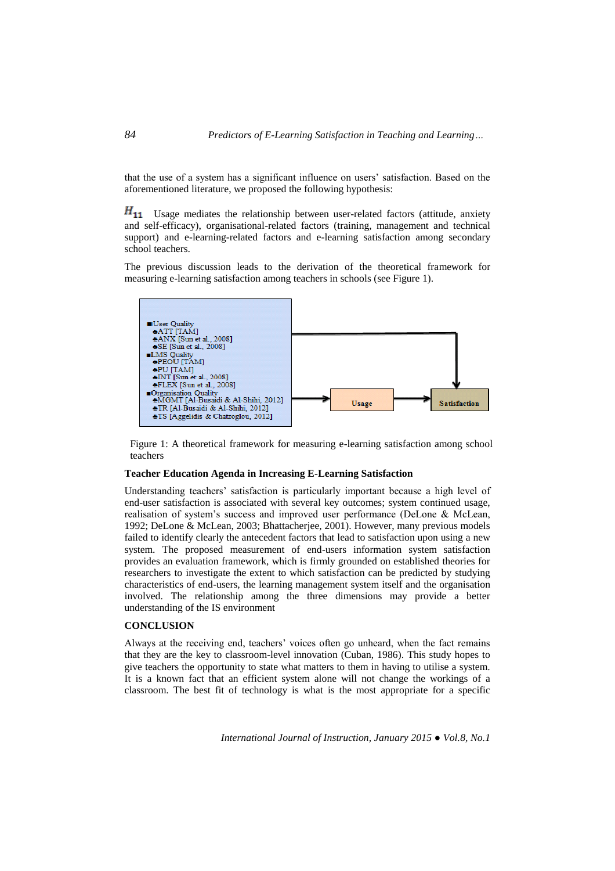that the use of a system has a significant influence on users' satisfaction. Based on the aforementioned literature, we proposed the following hypothesis:

 $H_{11}$  Usage mediates the relationship between user-related factors (attitude, anxiety and self-efficacy), organisational-related factors (training, management and technical support) and e-learning-related factors and e-learning satisfaction among secondary school teachers.

The previous discussion leads to the derivation of the theoretical framework for measuring e-learning satisfaction among teachers in schools (see Figure 1).



Figure 1: A theoretical framework for measuring e-learning satisfaction among school teachers

## **Teacher Education Agenda in Increasing E-Learning Satisfaction**

Understanding teachers' satisfaction is particularly important because a high level of end-user satisfaction is associated with several key outcomes; system continued usage, realisation of system's success and improved user performance (DeLone & McLean, 1992; DeLone & McLean, 2003; Bhattacherjee, 2001). However, many previous models failed to identify clearly the antecedent factors that lead to satisfaction upon using a new system. The proposed measurement of end-users information system satisfaction provides an evaluation framework, which is firmly grounded on established theories for researchers to investigate the extent to which satisfaction can be predicted by studying characteristics of end-users, the learning management system itself and the organisation involved. The relationship among the three dimensions may provide a better understanding of the IS environment

### **CONCLUSION**

Always at the receiving end, teachers' voices often go unheard, when the fact remains that they are the key to classroom-level innovation (Cuban, 1986). This study hopes to give teachers the opportunity to state what matters to them in having to utilise a system. It is a known fact that an efficient system alone will not change the workings of a classroom. The best fit of technology is what is the most appropriate for a specific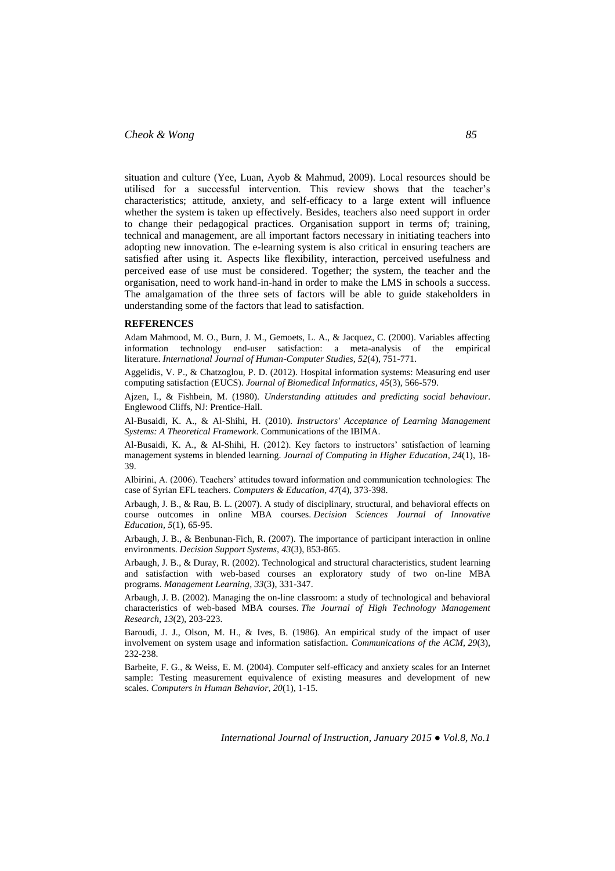## *Cheok & Wong 85*

situation and culture (Yee, Luan, Ayob & Mahmud, 2009). Local resources should be utilised for a successful intervention. This review shows that the teacher's characteristics; attitude, anxiety, and self-efficacy to a large extent will influence whether the system is taken up effectively. Besides, teachers also need support in order to change their pedagogical practices. Organisation support in terms of; training, technical and management, are all important factors necessary in initiating teachers into adopting new innovation. The e-learning system is also critical in ensuring teachers are satisfied after using it. Aspects like flexibility, interaction, perceived usefulness and perceived ease of use must be considered. Together; the system, the teacher and the organisation, need to work hand-in-hand in order to make the LMS in schools a success. The amalgamation of the three sets of factors will be able to guide stakeholders in understanding some of the factors that lead to satisfaction.

#### **REFERENCES**

Adam Mahmood, M. O., Burn, J. M., Gemoets, L. A., & Jacquez, C. (2000). Variables affecting information technology end-user satisfaction: a meta-analysis of the empirical literature. *International Journal of Human-Computer Studies, 52*(4), 751-771.

Aggelidis, V. P., & Chatzoglou, P. D. (2012). Hospital information systems: Measuring end user computing satisfaction (EUCS). *Journal of Biomedical Informatics, 45*(3), 566-579.

Ajzen, I., & Fishbein, M. (1980). *Understanding attitudes and predicting social behaviour*. Englewood Cliffs, NJ: Prentice-Hall.

Al-Busaidi, K. A., & Al-Shihi, H. (2010). *Instructors' Acceptance of Learning Management Systems: A Theoretical Framework*. Communications of the IBIMA.

Al-Busaidi, K. A., & Al-Shihi, H. (2012). Key factors to instructors' satisfaction of learning management systems in blended learning. *Journal of Computing in Higher Education, 24*(1), 18- 39.

Albirini, A. (2006). Teachers' attitudes toward information and communication technologies: The case of Syrian EFL teachers. *Computers & Education, 47*(4), 373-398.

Arbaugh, J. B., & Rau, B. L. (2007). A study of disciplinary, structural, and behavioral effects on course outcomes in online MBA courses. *Decision Sciences Journal of Innovative Education, 5*(1), 65-95.

Arbaugh, J. B., & Benbunan-Fich, R. (2007). The importance of participant interaction in online environments. *Decision Support Systems, 43*(3), 853-865.

Arbaugh, J. B., & Duray, R. (2002). Technological and structural characteristics, student learning and satisfaction with web-based courses an exploratory study of two on-line MBA programs. *Management Learning, 33*(3), 331-347.

Arbaugh, J. B. (2002). Managing the on-line classroom: a study of technological and behavioral characteristics of web-based MBA courses. *The Journal of High Technology Management Research, 13*(2), 203-223.

Baroudi, J. J., Olson, M. H., & Ives, B. (1986). An empirical study of the impact of user involvement on system usage and information satisfaction. *Communications of the ACM, 29*(3), 232-238.

Barbeite, F. G., & Weiss, E. M. (2004). Computer self-efficacy and anxiety scales for an Internet sample: Testing measurement equivalence of existing measures and development of new scales. *Computers in Human Behavior, 20*(1), 1-15.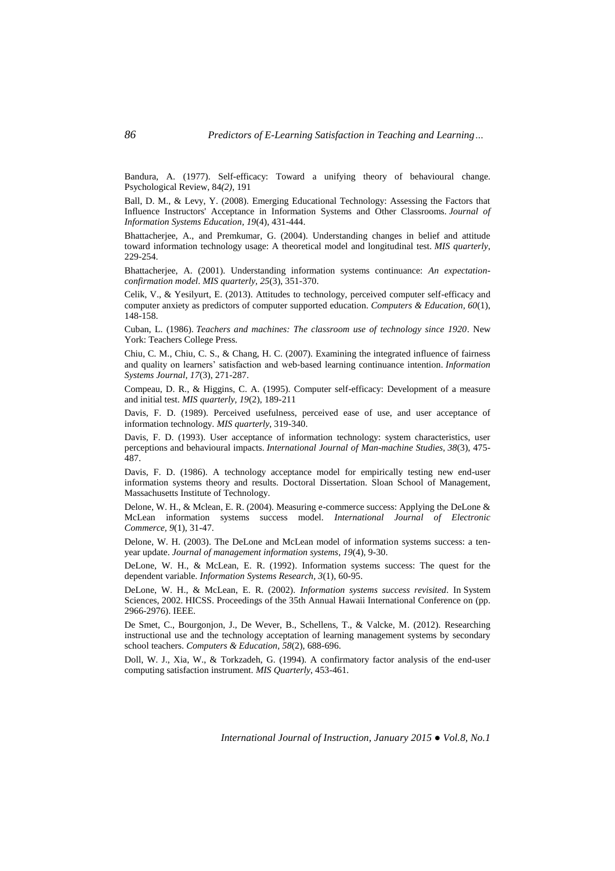Bandura, A. (1977). Self-efficacy: Toward a unifying theory of behavioural change. Psychological Review, 84*(2)*, 191

Ball, D. M., & Levy, Y. (2008). Emerging Educational Technology: Assessing the Factors that Influence Instructors' Acceptance in Information Systems and Other Classrooms. *Journal of Information Systems Education, 19*(4), 431-444.

Bhattacherjee, A., and Premkumar, G. (2004). Understanding changes in belief and attitude toward information technology usage: A theoretical model and longitudinal test. *MIS quarterly*, 229-254.

Bhattacherjee, A. (2001). Understanding information systems continuance: *An expectationconfirmation model*. *MIS quarterly, 25*(3), 351-370.

Celik, V., & Yesilyurt, E. (2013). Attitudes to technology, perceived computer self-efficacy and computer anxiety as predictors of computer supported education. *Computers & Education, 60*(1), 148-158.

Cuban, L. (1986). *Teachers and machines: The classroom use of technology since 1920*. New York: Teachers College Press.

Chiu, C. M., Chiu, C. S., & Chang, H. C. (2007). Examining the integrated influence of fairness and quality on learners' satisfaction and web-based learning continuance intention. *Information Systems Journal, 17*(3), 271-287.

Compeau, D. R., & Higgins, C. A. (1995). Computer self-efficacy: Development of a measure and initial test. *MIS quarterly, 19*(2), 189-211

Davis, F. D. (1989). Perceived usefulness, perceived ease of use, and user acceptance of information technology. *MIS quarterly*, 319-340.

Davis, F. D. (1993). User acceptance of information technology: system characteristics, user perceptions and behavioural impacts. *International Journal of Man-machine Studies, 38*(3), 475- 487.

Davis, F. D. (1986). A technology acceptance model for empirically testing new end-user information systems theory and results. Doctoral Dissertation. Sloan School of Management, Massachusetts Institute of Technology.

Delone, W. H., & Mclean, E. R. (2004). Measuring e-commerce success: Applying the DeLone & McLean information systems success model. *International Journal of Electronic Commerce, 9*(1), 31-47.

Delone, W. H. (2003). The DeLone and McLean model of information systems success: a tenyear update. *Journal of management information systems, 19*(4), 9-30.

DeLone, W. H., & McLean, E. R. (1992). Information systems success: The quest for the dependent variable. *Information Systems Research, 3*(1), 60-95.

DeLone, W. H., & McLean, E. R. (2002). *Information systems success revisited*. In System Sciences, 2002. HICSS. Proceedings of the 35th Annual Hawaii International Conference on (pp. 2966-2976). IEEE.

De Smet, C., Bourgonjon, J., De Wever, B., Schellens, T., & Valcke, M. (2012). Researching instructional use and the technology acceptation of learning management systems by secondary school teachers. *Computers & Education, 58*(2), 688-696.

Doll, W. J., Xia, W., & Torkzadeh, G. (1994). A confirmatory factor analysis of the end-user computing satisfaction instrument. *MIS Quarterly*, 453-461.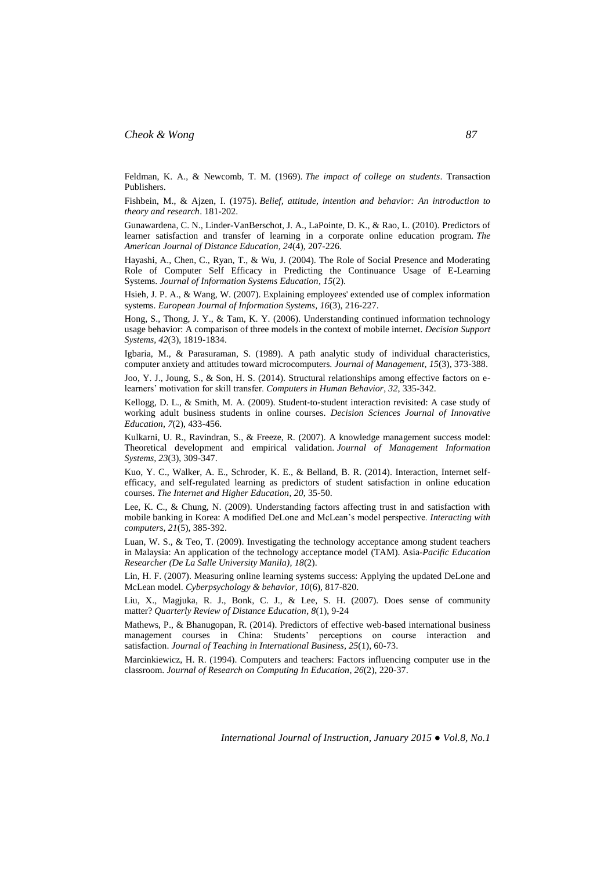Feldman, K. A., & Newcomb, T. M. (1969). *The impact of college on students*. Transaction Publishers.

Fishbein, M., & Ajzen, I. (1975). *Belief, attitude, intention and behavior: An introduction to theory and research*. 181-202.

Gunawardena, C. N., Linder-VanBerschot, J. A., LaPointe, D. K., & Rao, L. (2010). Predictors of learner satisfaction and transfer of learning in a corporate online education program. *The American Journal of Distance Education, 24*(4), 207-226.

Hayashi, A., Chen, C., Ryan, T., & Wu, J. (2004). The Role of Social Presence and Moderating Role of Computer Self Efficacy in Predicting the Continuance Usage of E-Learning Systems. *Journal of Information Systems Education, 15*(2).

Hsieh, J. P. A., & Wang, W. (2007). Explaining employees' extended use of complex information systems. *European Journal of Information Systems, 16*(3), 216-227.

Hong, S., Thong, J. Y., & Tam, K. Y. (2006). Understanding continued information technology usage behavior: A comparison of three models in the context of mobile internet*. Decision Support Systems, 42*(3), 1819-1834.

Igbaria, M., & Parasuraman, S. (1989). A path analytic study of individual characteristics, computer anxiety and attitudes toward microcomputers. *Journal of Management, 15*(3), 373-388.

Joo, Y. J., Joung, S., & Son, H. S. (2014). Structural relationships among effective factors on elearners' motivation for skill transfer. *Computers in Human Behavior, 32*, 335-342.

Kellogg, D. L., & Smith, M. A. (2009). Student-to-student interaction revisited: A case study of working adult business students in online courses. *Decision Sciences Journal of Innovative Education, 7*(2), 433-456.

Kulkarni, U. R., Ravindran, S., & Freeze, R. (2007). A knowledge management success model: Theoretical development and empirical validation. *Journal of Management Information Systems, 23*(3), 309-347.

Kuo, Y. C., Walker, A. E., Schroder, K. E., & Belland, B. R. (2014). Interaction, Internet selfefficacy, and self-regulated learning as predictors of student satisfaction in online education courses. *The Internet and Higher Education*, *20*, 35-50.

Lee, K. C., & Chung, N. (2009). Understanding factors affecting trust in and satisfaction with mobile banking in Korea: A modified DeLone and McLean's model perspective. *Interacting with computers, 21*(5), 385-392.

Luan, W. S., & Teo, T. (2009). Investigating the technology acceptance among student teachers in Malaysia: An application of the technology acceptance model (TAM). Asia-*Pacific Education Researcher (De La Salle University Manila), 18*(2).

Lin, H. F. (2007). Measuring online learning systems success: Applying the updated DeLone and McLean model. *Cyberpsychology & behavior, 10*(6), 817-820.

Liu, X., Magjuka, R. J., Bonk, C. J., & Lee, S. H. (2007). Does sense of community matter? *Quarterly Review of Distance Education, 8*(1), 9-24

Mathews, P., & Bhanugopan, R. (2014). Predictors of effective web-based international business management courses in China: Students' perceptions on course interaction and satisfaction. *Journal of Teaching in International Business, 25*(1), 60-73.

Marcinkiewicz, H. R. (1994). Computers and teachers: Factors influencing computer use in the classroom. *Journal of Research on Computing In Education, 26*(2), 220-37.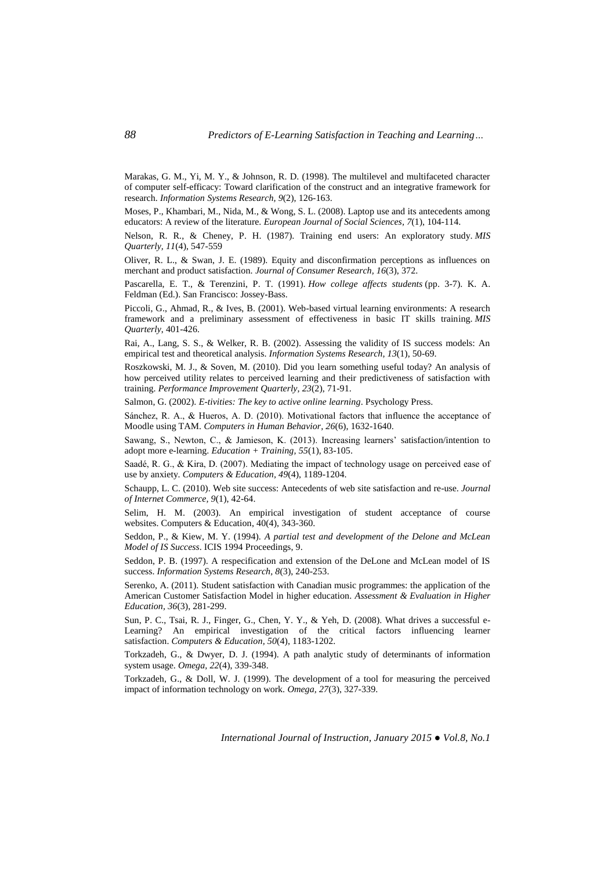Marakas, G. M., Yi, M. Y., & Johnson, R. D. (1998). The multilevel and multifaceted character of computer self-efficacy: Toward clarification of the construct and an integrative framework for research. *Information Systems Research, 9*(2), 126-163.

Moses, P., Khambari, M., Nida, M., & Wong, S. L. (2008). Laptop use and its antecedents among educators: A review of the literature. *European Journal of Social Sciences, 7*(1), 104-114.

Nelson, R. R., & Cheney, P. H. (1987). Training end users: An exploratory study. *MIS Quarterly, 11*(4), 547-559

Oliver, R. L., & Swan, J. E. (1989). Equity and disconfirmation perceptions as influences on merchant and product satisfaction. *Journal of Consumer Research, 16*(3), 372.

Pascarella, E. T., & Terenzini, P. T. (1991). *How college affects students* (pp. 3-7). K. A. Feldman (Ed.). San Francisco: Jossey-Bass.

Piccoli, G., Ahmad, R., & Ives, B. (2001). Web-based virtual learning environments: A research framework and a preliminary assessment of effectiveness in basic IT skills training. *MIS Quarterly*, 401-426.

Rai, A., Lang, S. S., & Welker, R. B. (2002). Assessing the validity of IS success models: An empirical test and theoretical analysis. *Information Systems Research, 13*(1), 50-69.

Roszkowski, M. J., & Soven, M. (2010). Did you learn something useful today? An analysis of how perceived utility relates to perceived learning and their predictiveness of satisfaction with training. *Performance Improvement Quarterly, 23*(2), 71-91.

Salmon, G. (2002). *E-tivities: The key to active online learning*. Psychology Press.

Sánchez, R. A., & Hueros, A. D. (2010). Motivational factors that influence the acceptance of Moodle using TAM. *Computers in Human Behavior, 26*(6), 1632-1640.

Sawang, S., Newton, C., & Jamieson, K. (2013). Increasing learners' satisfaction/intention to adopt more e-learning. *Education + Training, 55*(1), 83-105.

Saadé, R. G., & Kira, D. (2007). Mediating the impact of technology usage on perceived ease of use by anxiety. *Computers & Education, 49*(4), 1189-1204.

Schaupp, L. C. (2010). Web site success: Antecedents of web site satisfaction and re-use. *Journal of Internet Commerce, 9*(1), 42-64.

Selim, H. M. (2003). An empirical investigation of student acceptance of course websites. Computers & Education, 40(4), 343-360.

Seddon, P., & Kiew, M. Y. (1994). *A partial test and development of the Delone and McLean Model of IS Success*. ICIS 1994 Proceedings, 9.

Seddon, P. B. (1997). A respecification and extension of the DeLone and McLean model of IS success. *Information Systems Research, 8*(3), 240-253.

Serenko, A. (2011). Student satisfaction with Canadian music programmes: the application of the American Customer Satisfaction Model in higher education. *Assessment & Evaluation in Higher Education, 36*(3), 281-299.

Sun, P. C., Tsai, R. J., Finger, G., Chen, Y. Y., & Yeh, D. (2008). What drives a successful e-Learning? An empirical investigation of the critical factors influencing learner satisfaction. *Computers & Education, 50*(4), 1183-1202.

Torkzadeh, G., & Dwyer, D. J. (1994). A path analytic study of determinants of information system usage. *Omega, 22*(4), 339-348.

Torkzadeh, G., & Doll, W. J. (1999). The development of a tool for measuring the perceived impact of information technology on work. *Omega, 27*(3), 327-339.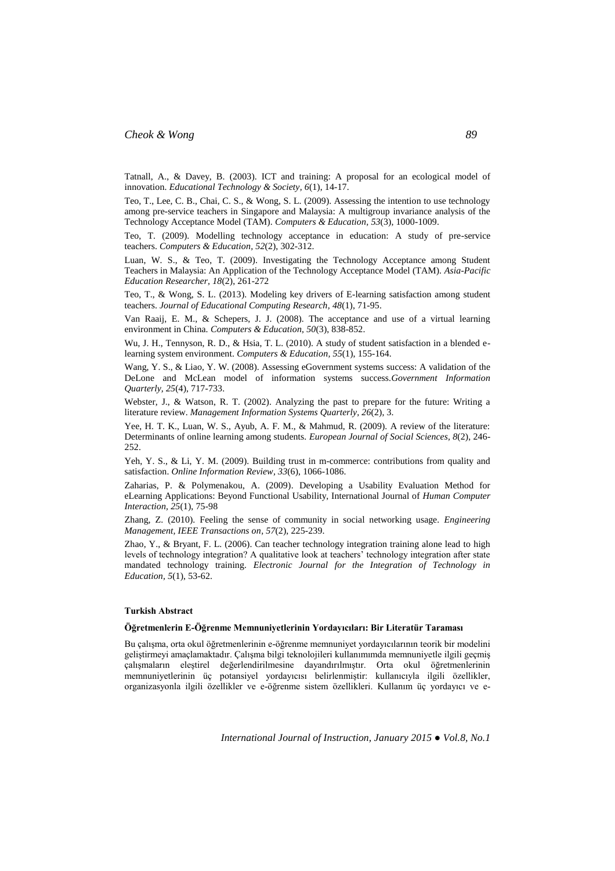Tatnall, A., & Davey, B. (2003). ICT and training: A proposal for an ecological model of innovation. *Educational Technology & Society, 6*(1), 14-17.

Teo, T., Lee, C. B., Chai, C. S., & Wong, S. L. (2009). Assessing the intention to use technology among pre-service teachers in Singapore and Malaysia: A multigroup invariance analysis of the Technology Acceptance Model (TAM). *Computers & Education, 53*(3), 1000-1009.

Teo, T. (2009). Modelling technology acceptance in education: A study of pre-service teachers. *Computers & Education, 52*(2), 302-312.

Luan, W. S., & Teo, T. (2009). Investigating the Technology Acceptance among Student Teachers in Malaysia: An Application of the Technology Acceptance Model (TAM). *Asia-Pacific Education Researcher, 18*(2), 261-272

Teo, T., & Wong, S. L. (2013). Modeling key drivers of E-learning satisfaction among student teachers. *Journal of Educational Computing Research, 48*(1), 71-95.

Van Raaij, E. M., & Schepers, J. J. (2008). The acceptance and use of a virtual learning environment in China. *Computers & Education, 50*(3), 838-852.

Wu, J. H., Tennyson, R. D., & Hsia, T. L. (2010). A study of student satisfaction in a blended elearning system environment. *Computers & Education, 55*(1), 155-164.

Wang, Y. S., & Liao, Y. W. (2008). Assessing eGovernment systems success: A validation of the DeLone and McLean model of information systems success.*Government Information Quarterly, 25*(4), 717-733.

Webster, J., & Watson, R. T. (2002). Analyzing the past to prepare for the future: Writing a literature review. *Management Information Systems Quarterly, 26*(2), 3.

Yee, H. T. K., Luan, W. S., Ayub, A. F. M., & Mahmud, R. (2009). A review of the literature: Determinants of online learning among students. *European Journal of Social Sciences, 8*(2), 246- 252.

Yeh, Y. S., & Li, Y. M. (2009). Building trust in m-commerce: contributions from quality and satisfaction. *Online Information Review, 33*(6), 1066-1086.

Zaharias, P. & Polymenakou, A. (2009). Developing a Usability Evaluation Method for eLearning Applications: Beyond Functional Usability, International Journal of *Human Computer Interaction, 25*(1), 75-98

Zhang, Z. (2010). Feeling the sense of community in social networking usage. *Engineering Management, IEEE Transactions on, 57*(2), 225-239.

Zhao, Y., & Bryant, F. L. (2006). Can teacher technology integration training alone lead to high levels of technology integration? A qualitative look at teachers' technology integration after state mandated technology training. *Electronic Journal for the Integration of Technology in Education, 5*(1), 53-62.

#### **Turkish Abstract**

#### **Öğretmenlerin E-Öğrenme Memnuniyetlerinin Yordayıcıları: Bir Literatür Taraması**

Bu çalışma, orta okul öğretmenlerinin e-öğrenme memnuniyet yordayıcılarının teorik bir modelini geliştirmeyi amaçlamaktadır. Çalışma bilgi teknolojileri kullanımımda memnuniyetle ilgili geçmiş çalışmaların eleştirel değerlendirilmesine dayandırılmıştır. Orta okul öğretmenlerinin memnuniyetlerinin üç potansiyel yordayıcısı belirlenmiştir: kullanıcıyla ilgili özellikler, organizasyonla ilgili özellikler ve e-öğrenme sistem özellikleri. Kullanım üç yordayıcı ve e-